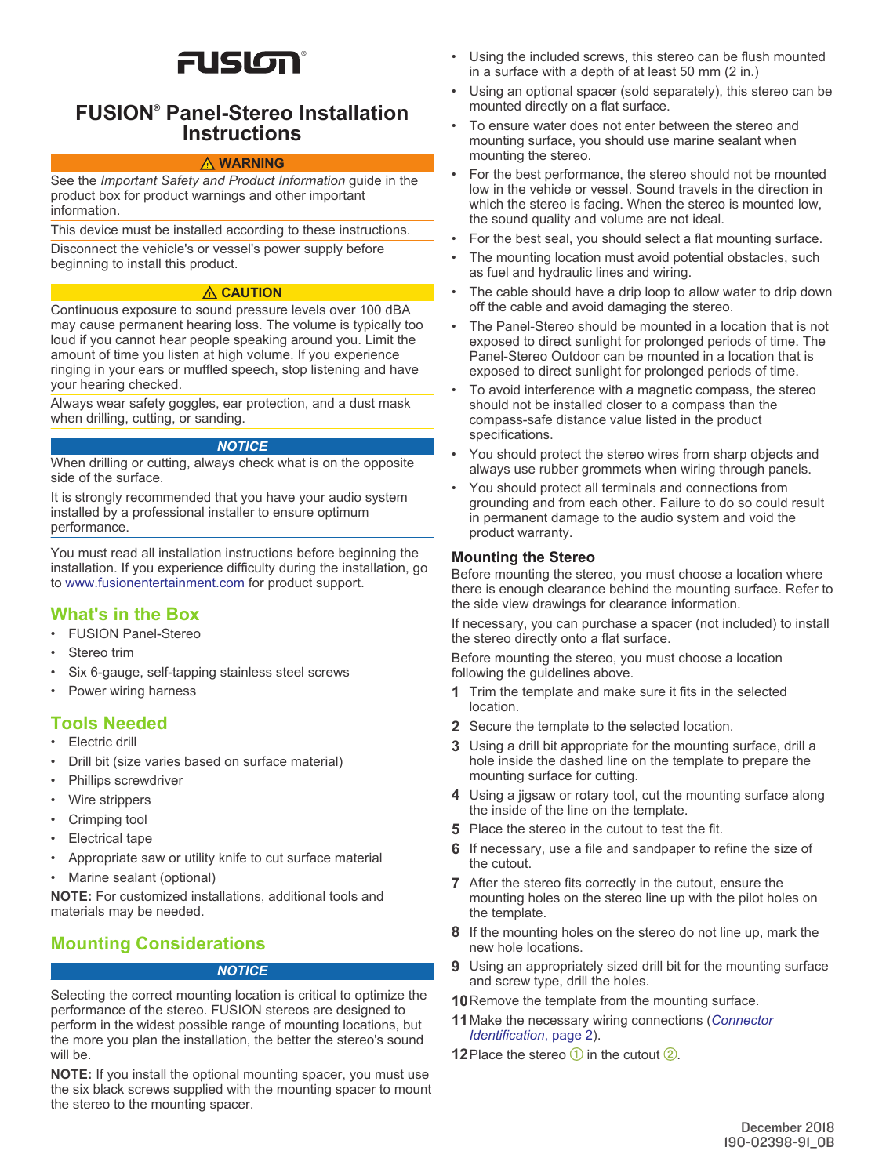# FUSION®

## **FUSION® Panel-Stereo Installation Instructions**

#### **WARNING**

See the *Important Safety and Product Information* guide in the product box for product warnings and other important information.

This device must be installed according to these instructions.

Disconnect the vehicle's or vessel's power supply before beginning to install this product.

#### **CAUTION**

Continuous exposure to sound pressure levels over 100 dBA may cause permanent hearing loss. The volume is typically too loud if you cannot hear people speaking around you. Limit the amount of time you listen at high volume. If you experience ringing in your ears or muffled speech, stop listening and have your hearing checked.

Always wear safety goggles, ear protection, and a dust mask when drilling, cutting, or sanding.

#### *NOTICE*

When drilling or cutting, always check what is on the opposite side of the surface.

It is strongly recommended that you have your audio system installed by a professional installer to ensure optimum performance.

You must read all installation instructions before beginning the installation. If you experience difficulty during the installation, go to [www.fusionentertainment.com](http://www.fusionentertainment.com) for product support.

## **What's in the Box**

- FUSION Panel-Stereo
- Stereo trim
- Six 6-gauge, self-tapping stainless steel screws
- Power wiring harness

# **Tools Needed**

- Electric drill
- Drill bit (size varies based on surface material)
- Phillips screwdriver
- Wire strippers
- Crimping tool
- Electrical tape
- Appropriate saw or utility knife to cut surface material
- Marine sealant (optional)

**NOTE:** For customized installations, additional tools and materials may be needed.

# **Mounting Considerations**

#### *NOTICE*

Selecting the correct mounting location is critical to optimize the performance of the stereo. FUSION stereos are designed to perform in the widest possible range of mounting locations, but the more you plan the installation, the better the stereo's sound will be.

**NOTE:** If you install the optional mounting spacer, you must use the six black screws supplied with the mounting spacer to mount the stereo to the mounting spacer.

- Using the included screws, this stereo can be flush mounted in a surface with a depth of at least 50 mm (2 in.)
- Using an optional spacer (sold separately), this stereo can be mounted directly on a flat surface.
- To ensure water does not enter between the stereo and mounting surface, you should use marine sealant when mounting the stereo.
- For the best performance, the stereo should not be mounted low in the vehicle or vessel. Sound travels in the direction in which the stereo is facing. When the stereo is mounted low, the sound quality and volume are not ideal.
- For the best seal, you should select a flat mounting surface.
- The mounting location must avoid potential obstacles, such as fuel and hydraulic lines and wiring.
- The cable should have a drip loop to allow water to drip down off the cable and avoid damaging the stereo.
- The Panel-Stereo should be mounted in a location that is not exposed to direct sunlight for prolonged periods of time. The Panel-Stereo Outdoor can be mounted in a location that is exposed to direct sunlight for prolonged periods of time.
- To avoid interference with a magnetic compass, the stereo should not be installed closer to a compass than the compass-safe distance value listed in the product specifications.
- You should protect the stereo wires from sharp objects and always use rubber grommets when wiring through panels.
- You should protect all terminals and connections from grounding and from each other. Failure to do so could result in permanent damage to the audio system and void the product warranty.

## **Mounting the Stereo**

Before mounting the stereo, you must choose a location where there is enough clearance behind the mounting surface. Refer to the side view drawings for clearance information.

If necessary, you can purchase a spacer (not included) to install the stereo directly onto a flat surface.

Before mounting the stereo, you must choose a location following the guidelines above.

- **1** Trim the template and make sure it fits in the selected location.
- **2** Secure the template to the selected location.
- **3** Using a drill bit appropriate for the mounting surface, drill a hole inside the dashed line on the template to prepare the mounting surface for cutting.
- **4** Using a jigsaw or rotary tool, cut the mounting surface along the inside of the line on the template.
- **5** Place the stereo in the cutout to test the fit.
- **6** If necessary, use a file and sandpaper to refine the size of the cutout.
- **7** After the stereo fits correctly in the cutout, ensure the mounting holes on the stereo line up with the pilot holes on the template.
- **8** If the mounting holes on the stereo do not line up, mark the new hole locations.
- **9** Using an appropriately sized drill bit for the mounting surface and screw type, drill the holes.
- **10** Remove the template from the mounting surface.
- **11**Make the necessary wiring connections (*[Connector](#page-1-0)  [Identification](#page-1-0)*, page 2).
- **12** Place the stereo  $\bigcirc$  in the cutout  $\bigcirc$ .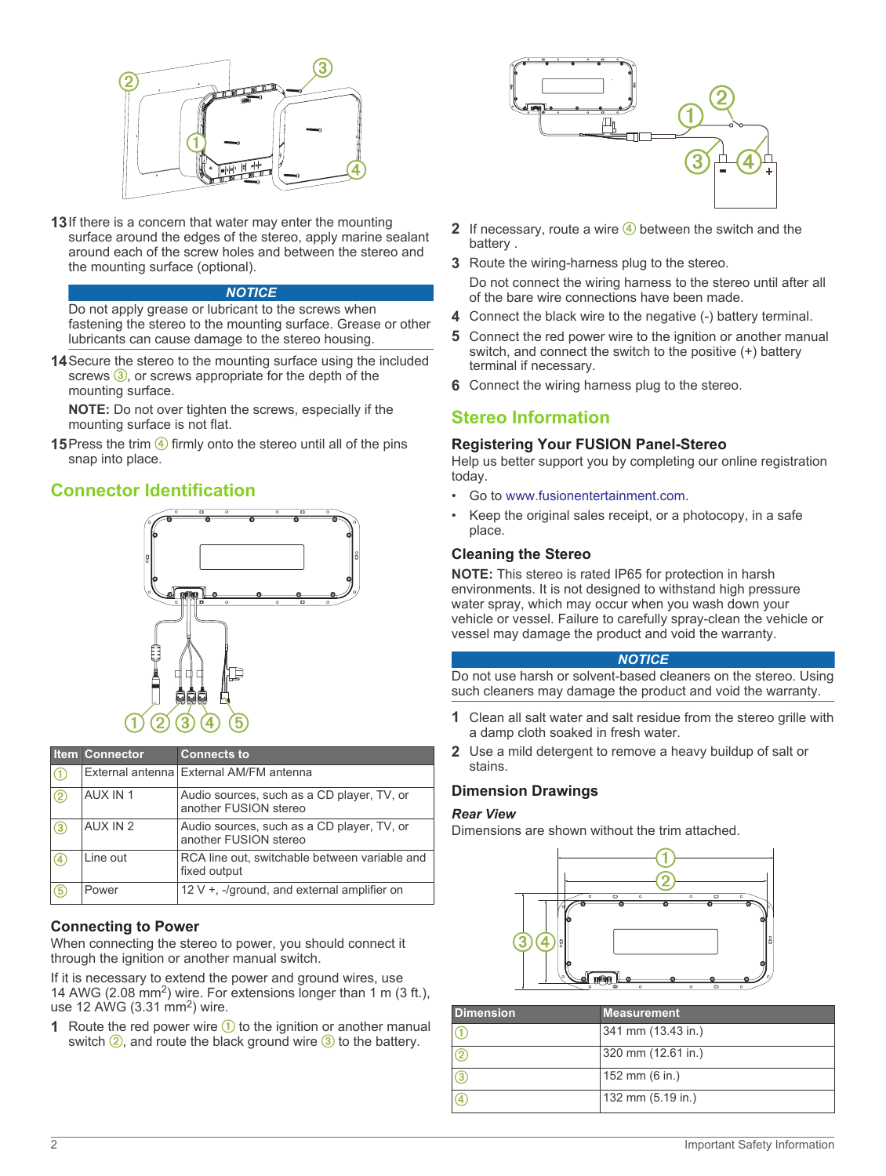<span id="page-1-0"></span>

**13**If there is a concern that water may enter the mounting surface around the edges of the stereo, apply marine sealant around each of the screw holes and between the stereo and the mounting surface (optional).

#### *NOTICE*

Do not apply grease or lubricant to the screws when fastening the stereo to the mounting surface. Grease or other lubricants can cause damage to the stereo housing.

**14**Secure the stereo to the mounting surface using the included screws  $(3)$ , or screws appropriate for the depth of the mounting surface.

**NOTE:** Do not over tighten the screws, especially if the mounting surface is not flat.

**15** Press the trim  $\overline{4}$  firmly onto the stereo until all of the pins snap into place.

## **Connector Identification**



|               | <b>Item Connector</b> | <b>Connects to</b>                                                  |
|---------------|-----------------------|---------------------------------------------------------------------|
| $\bigcirc$    |                       | External antenna External AM/FM antenna                             |
| $\circled{2}$ | AUX IN 1              | Audio sources, such as a CD player, TV, or<br>another FUSION stereo |
| 3             | AUX IN 2              | Audio sources, such as a CD player, TV, or<br>another FUSION stereo |
| 4             | Line out              | RCA line out, switchable between variable and<br>fixed output       |
| ௫             | Power                 | 12 V $+$ , -/ground, and external amplifier on                      |

## **Connecting to Power**

When connecting the stereo to power, you should connect it through the ignition or another manual switch.

If it is necessary to extend the power and ground wires, use 14 AWG (2.08 mm<sup>2</sup>) wire. For extensions longer than 1 m (3 ft.), use 12 AWG (3.31 mm<sup>2</sup>) wire.

**1** Route the red power wire  $\left(\frac{1}{1}\right)$  to the ignition or another manual switch  $\circled{2}$ , and route the black ground wire  $\circled{3}$  to the battery.



- **2** If necessary, route a wire  $\overline{4}$  between the switch and the battery .
- **3** Route the wiring-harness plug to the stereo.
	- Do not connect the wiring harness to the stereo until after all of the bare wire connections have been made.
- **4** Connect the black wire to the negative (-) battery terminal.
- **5** Connect the red power wire to the ignition or another manual switch, and connect the switch to the positive (+) battery terminal if necessary.
- **6** Connect the wiring harness plug to the stereo.

## **Stereo Information**

#### **Registering Your FUSION Panel-Stereo**

Help us better support you by completing our online registration today.

- Go to [www.fusionentertainment.com.](http://www.fusionentertainment.com)
- Keep the original sales receipt, or a photocopy, in a safe place.

#### **Cleaning the Stereo**

**NOTE:** This stereo is rated IP65 for protection in harsh environments. It is not designed to withstand high pressure water spray, which may occur when you wash down your vehicle or vessel. Failure to carefully spray-clean the vehicle or vessel may damage the product and void the warranty.

#### *NOTICE*

Do not use harsh or solvent-based cleaners on the stereo. Using such cleaners may damage the product and void the warranty.

- **1** Clean all salt water and salt residue from the stereo grille with a damp cloth soaked in fresh water.
- **2** Use a mild detergent to remove a heavy buildup of salt or stains.

#### **Dimension Drawings**

#### *Rear View*

Dimensions are shown without the trim attached.



| <b>Dimension</b> | <b>Measurement</b> |
|------------------|--------------------|
|                  | 341 mm (13.43 in.) |
|                  | 320 mm (12.61 in.) |
|                  | 152 mm (6 in.)     |
|                  | 132 mm (5.19 in.)  |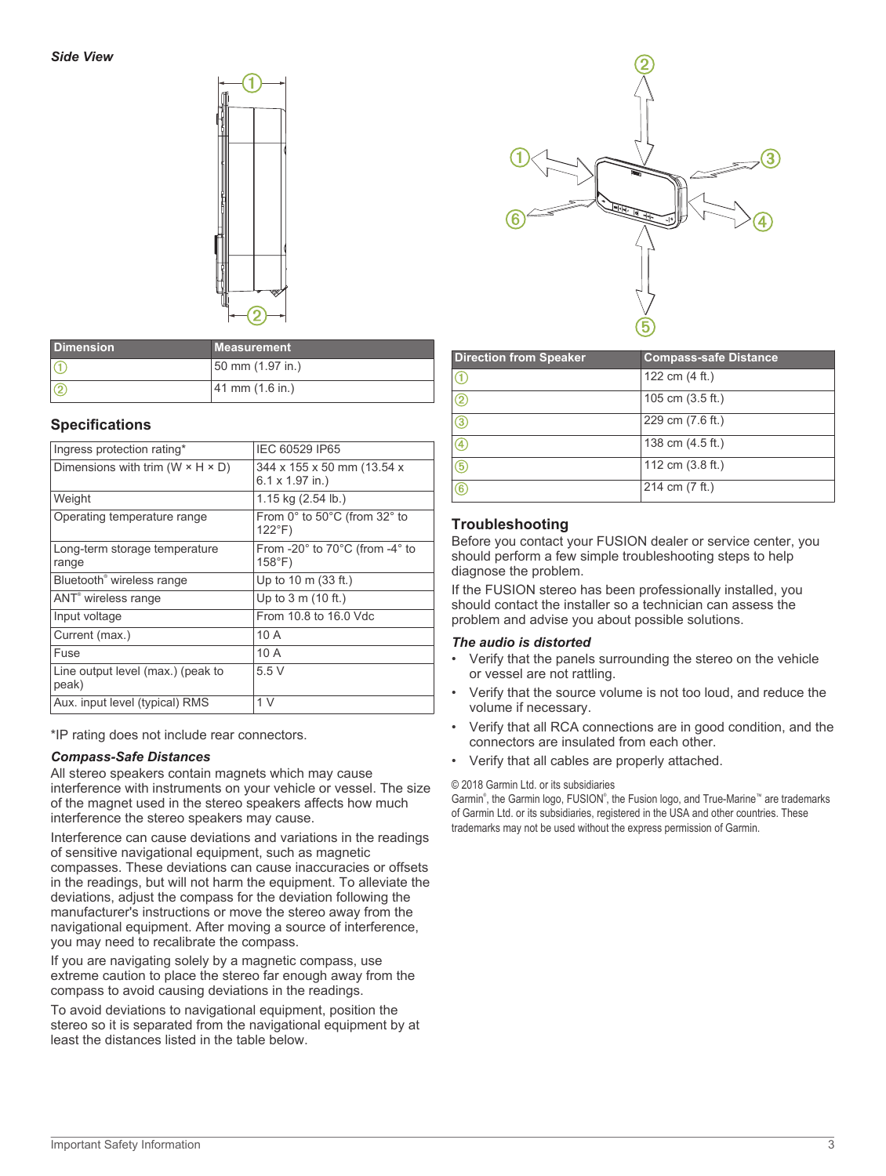

| <b>Dimension</b> | <b>Measurement</b>                  |
|------------------|-------------------------------------|
|                  | 50 mm (1.97 in.)                    |
| $\overline{c}$   | $ 41 \text{ mm } (1.6 \text{ in.})$ |

## **Specifications**

| Ingress protection rating*                     | IEC 60529 IP65                                                       |
|------------------------------------------------|----------------------------------------------------------------------|
| Dimensions with trim ( $W \times H \times D$ ) | 344 x 155 x 50 mm (13.54 x<br>$6.1 \times 1.97$ in.)                 |
| Weight                                         | 1.15 kg (2.54 lb.)                                                   |
| Operating temperature range                    | From $0^\circ$ to $50^\circ$ C (from $32^\circ$ to<br>$122^{\circ}F$ |
| Long-term storage temperature<br>range         | From -20° to 70°C (from -4° to<br>$158^{\circ}$ F)                   |
| Bluetooth <sup>®</sup> wireless range          | Up to $10 \text{ m}$ (33 ft.)                                        |
| ANT <sup>®</sup> wireless range                | Up to $3 \text{ m}$ (10 ft.)                                         |
| Input voltage                                  | From 10.8 to 16.0 Vdc                                                |
| Current (max.)                                 | 10A                                                                  |
| Fuse                                           | 10A                                                                  |
| Line output level (max.) (peak to<br>peak)     | 5.5V                                                                 |
| Aux. input level (typical) RMS                 | 1 <sub>V</sub>                                                       |

\*IP rating does not include rear connectors.

#### *Compass-Safe Distances*

All stereo speakers contain magnets which may cause interference with instruments on your vehicle or vessel. The size of the magnet used in the stereo speakers affects how much interference the stereo speakers may cause.

Interference can cause deviations and variations in the readings of sensitive navigational equipment, such as magnetic compasses. These deviations can cause inaccuracies or offsets in the readings, but will not harm the equipment. To alleviate the deviations, adjust the compass for the deviation following the manufacturer's instructions or move the stereo away from the navigational equipment. After moving a source of interference, you may need to recalibrate the compass.

If you are navigating solely by a magnetic compass, use extreme caution to place the stereo far enough away from the compass to avoid causing deviations in the readings.

To avoid deviations to navigational equipment, position the stereo so it is separated from the navigational equipment by at least the distances listed in the table below.



| <b>Direction from Speaker</b> | <b>Compass-safe Distance</b> |
|-------------------------------|------------------------------|
|                               | 122 cm (4 ft.)               |
| $\left( 2\right)$             | 105 cm $(3.5 ft.)$           |
| 3                             | 229 cm (7.6 ft.)             |
| (4                            | 138 cm (4.5 ft.)             |
| (5                            | 112 cm $(3.8 \text{ ft.})$   |
| 6                             | 214 cm (7 ft.)               |

## **Troubleshooting**

Before you contact your FUSION dealer or service center, you should perform a few simple troubleshooting steps to help diagnose the problem.

If the FUSION stereo has been professionally installed, you should contact the installer so a technician can assess the problem and advise you about possible solutions.

#### *The audio is distorted*

- Verify that the panels surrounding the stereo on the vehicle or vessel are not rattling.
- Verify that the source volume is not too loud, and reduce the volume if necessary.
- Verify that all RCA connections are in good condition, and the connectors are insulated from each other.
- Verify that all cables are properly attached.

© 2018 Garmin Ltd. or its subsidiaries

Garmin®, the Garmin logo, FUSION®, the Fusion logo, and True-Marine™ are trademarks of Garmin Ltd. or its subsidiaries, registered in the USA and other countries. These trademarks may not be used without the express permission of Garmin.